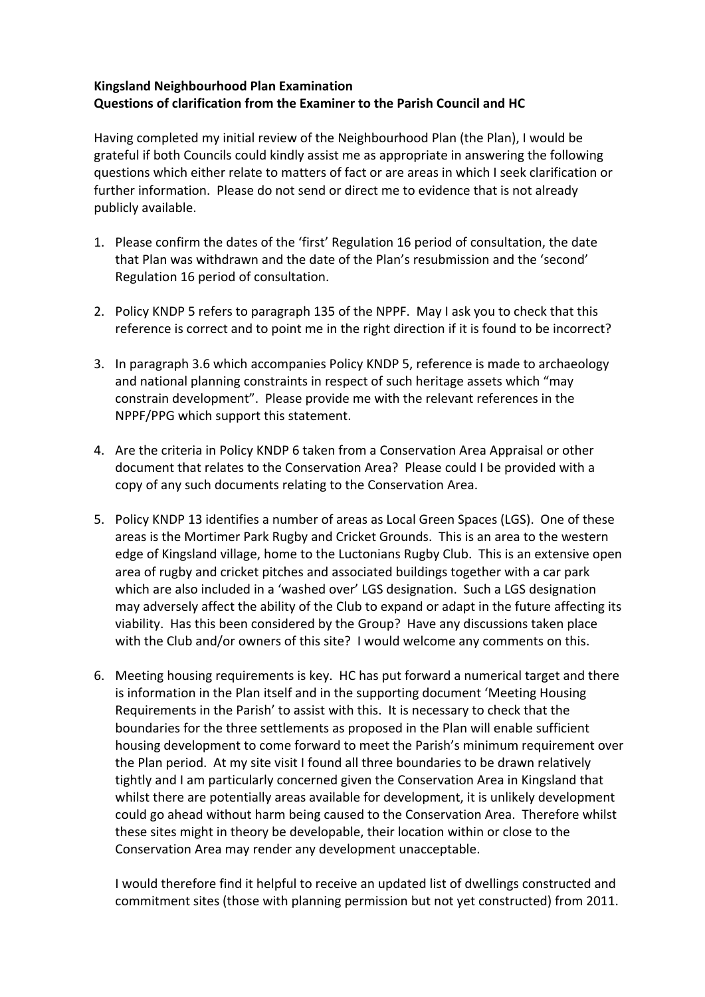## **Kingsland Neighbourhood Plan Examination Questions of clarification from the Examiner to the Parish Council and HC**

 Having completed my initial review of the Neighbourhood Plan (the Plan), I would be grateful if both Councils could kindly assist me as appropriate in answering the following questions which either relate to matters of fact or are areas in which I seek clarification or further information. Please do not send or direct me to evidence that is not already publicly available.

- 1. Please confirm the dates of the 'first' Regulation 16 period of consultation, the date that Plan was withdrawn and the date of the Plan's resubmission and the 'second' Regulation 16 period of consultation.
- 2. Policy KNDP 5 refers to paragraph 135 of the NPPF. May I ask you to check that this reference is correct and to point me in the right direction if it is found to be incorrect?
- 3. In paragraph 3.6 which accompanies Policy KNDP 5, reference is made to archaeology and national planning constraints in respect of such heritage assets which "may constrain development". Please provide me with the relevant references in the NPPF/PPG which support this statement.
- 4. Are the criteria in Policy KNDP 6 taken from a Conservation Area Appraisal or other document that relates to the Conservation Area? Please could I be provided with a copy of any such documents relating to the Conservation Area.
- 5. Policy KNDP 13 identifies a number of areas as Local Green Spaces (LGS). One of these areas is the Mortimer Park Rugby and Cricket Grounds. This is an area to the western edge of Kingsland village, home to the Luctonians Rugby Club. This is an extensive open area of rugby and cricket pitches and associated buildings together with a car park which are also included in a 'washed over' LGS designation. Such a LGS designation may adversely affect the ability of the Club to expand or adapt in the future affecting its viability. Has this been considered by the Group? Have any discussions taken place with the Club and/or owners of this site? I would welcome any comments on this.
- 6. Meeting housing requirements is key. HC has put forward a numerical target and there is information in the Plan itself and in the supporting document 'Meeting Housing Requirements in the Parish' to assist with this. It is necessary to check that the boundaries for the three settlements as proposed in the Plan will enable sufficient housing development to come forward to meet the Parish's minimum requirement over the Plan period. At my site visit I found all three boundaries to be drawn relatively tightly and I am particularly concerned given the Conservation Area in Kingsland that whilst there are potentially areas available for development, it is unlikely development could go ahead without harm being caused to the Conservation Area. Therefore whilst these sites might in theory be developable, their location within or close to the Conservation Area may render any development unacceptable.

 I would therefore find it helpful to receive an updated list of dwellings constructed and commitment sites (those with planning permission but not yet constructed) from 2011.